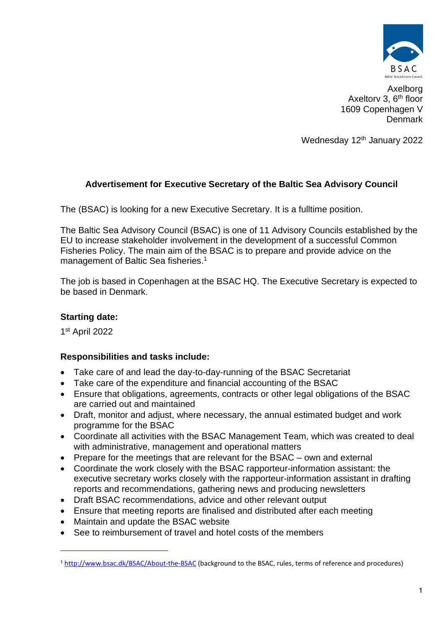

Axelborg Axeltory 3, 6<sup>th</sup> floor 1609 Copenhagen V Denmark

Wednesday 12<sup>th</sup> January 2022

# **Advertisement for Executive Secretary of the Baltic Sea Advisory Council**

The (BSAC) is looking for a new Executive Secretary. It is a fulltime position.

The Baltic Sea Advisory Council (BSAC) is one of 11 Advisory Councils established by the EU to increase stakeholder involvement in the development of a successful Common Fisheries Policy. The main aim of the BSAC is to prepare and provide advice on the management of Baltic Sea fisheries. 1

The job is based in Copenhagen at the BSAC HQ. The Executive Secretary is expected to be based in Denmark.

# **Starting date:**

1 st April 2022

# **Responsibilities and tasks include:**

- Take care of and lead the day-to-day-running of the BSAC Secretariat
- Take care of the expenditure and financial accounting of the BSAC
- Ensure that obligations, agreements, contracts or other legal obligations of the BSAC are carried out and maintained
- Draft, monitor and adjust, where necessary, the annual estimated budget and work programme for the BSAC
- Coordinate all activities with the BSAC Management Team, which was created to deal with administrative, management and operational matters
- Prepare for the meetings that are relevant for the BSAC own and external
- Coordinate the work closely with the BSAC rapporteur-information assistant: the executive secretary works closely with the rapporteur-information assistant in drafting reports and recommendations, gathering news and producing newsletters
- Draft BSAC recommendations, advice and other relevant output
- Ensure that meeting reports are finalised and distributed after each meeting
- Maintain and update the BSAC website
- See to reimbursement of travel and hotel costs of the members

<sup>&</sup>lt;sup>1</sup> <http://www.bsac.dk/BSAC/About-the-BSAC> (background to the BSAC, rules, terms of reference and procedures)